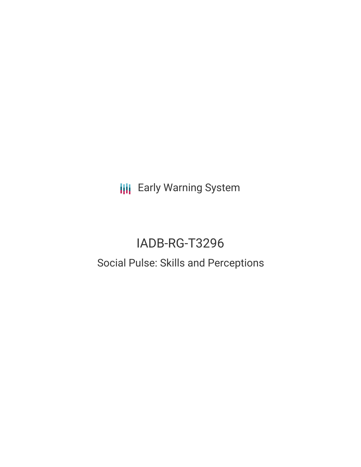**III** Early Warning System

# IADB-RG-T3296 Social Pulse: Skills and Perceptions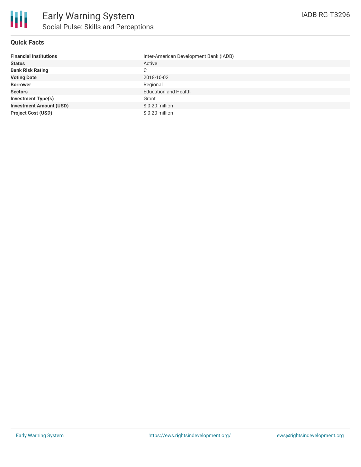

## **Quick Facts**

| <b>Financial Institutions</b>  | Inter-American Development Bank (IADB) |
|--------------------------------|----------------------------------------|
| <b>Status</b>                  | Active                                 |
| <b>Bank Risk Rating</b>        | C                                      |
| <b>Voting Date</b>             | 2018-10-02                             |
| <b>Borrower</b>                | Regional                               |
| <b>Sectors</b>                 | <b>Education and Health</b>            |
| <b>Investment Type(s)</b>      | Grant                                  |
| <b>Investment Amount (USD)</b> | $$0.20$ million                        |
| <b>Project Cost (USD)</b>      | $$0.20$ million                        |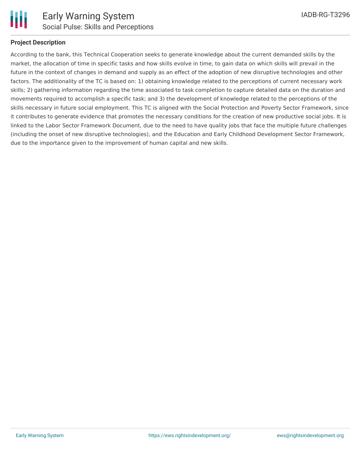

## **Project Description**

According to the bank, this Technical Cooperation seeks to generate knowledge about the current demanded skills by the market, the allocation of time in specific tasks and how skills evolve in time, to gain data on which skills will prevail in the future in the context of changes in demand and supply as an effect of the adoption of new disruptive technologies and other factors. The additionality of the TC is based on: 1) obtaining knowledge related to the perceptions of current necessary work skills; 2) gathering information regarding the time associated to task completion to capture detailed data on the duration and movements required to accomplish a specific task; and 3) the development of knowledge related to the perceptions of the skills necessary in future social employment. This TC is aligned with the Social Protection and Poverty Sector Framework, since it contributes to generate evidence that promotes the necessary conditions for the creation of new productive social jobs. It is linked to the Labor Sector Framework Document, due to the need to have quality jobs that face the multiple future challenges (including the onset of new disruptive technologies), and the Education and Early Childhood Development Sector Framework, due to the importance given to the improvement of human capital and new skills.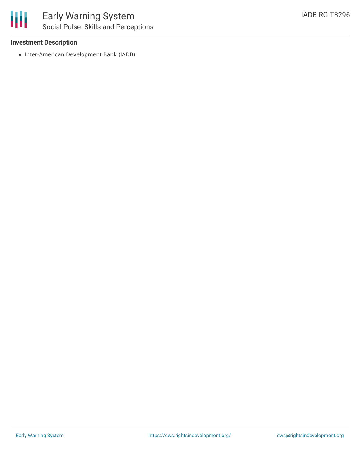

### **Investment Description**

• Inter-American Development Bank (IADB)